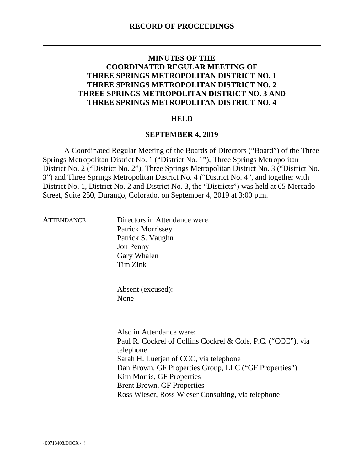## **MINUTES OF THE COORDINATED REGULAR MEETING OF THREE SPRINGS METROPOLITAN DISTRICT NO. 1 THREE SPRINGS METROPOLITAN DISTRICT NO. 2 THREE SPRINGS METROPOLITAN DISTRICT NO. 3 AND THREE SPRINGS METROPOLITAN DISTRICT NO. 4**

## **HELD**

## **SEPTEMBER 4, 2019**

A Coordinated Regular Meeting of the Boards of Directors ("Board") of the Three Springs Metropolitan District No. 1 ("District No. 1"), Three Springs Metropolitan District No. 2 ("District No. 2"), Three Springs Metropolitan District No. 3 ("District No. 3") and Three Springs Metropolitan District No. 4 ("District No. 4", and together with District No. 1, District No. 2 and District No. 3, the "Districts") was held at 65 Mercado Street, Suite 250, Durango, Colorado, on September 4, 2019 at 3:00 p.m.

ATTENDANCE Directors in Attendance were: Patrick Morrissey Patrick S. Vaughn Jon Penny Gary Whalen Tim Zink

> Absent (excused): None

Also in Attendance were: Paul R. Cockrel of Collins Cockrel & Cole, P.C. ("CCC"), via telephone Sarah H. Luetjen of CCC, via telephone Dan Brown, GF Properties Group, LLC ("GF Properties") Kim Morris, GF Properties Brent Brown, GF Properties Ross Wieser, Ross Wieser Consulting, via telephone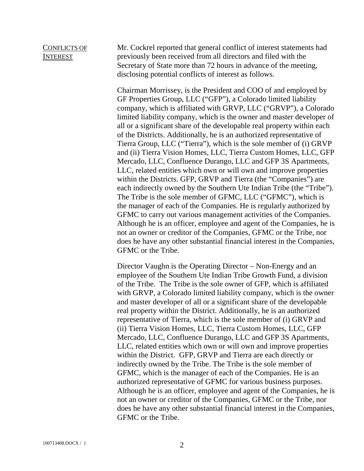## CONFLICTS OF INTEREST

Mr. Cockrel reported that general conflict of interest statements had previously been received from all directors and filed with the Secretary of State more than 72 hours in advance of the meeting, disclosing potential conflicts of interest as follows.

Chairman Morrissey, is the President and COO of and employed by GF Properties Group, LLC ("GFP"), a Colorado limited liability company, which is affiliated with GRVP, LLC ("GRVP"), a Colorado limited liability company, which is the owner and master developer of all or a significant share of the developable real property within each of the Districts. Additionally, he is an authorized representative of Tierra Group, LLC ("Tierra"), which is the sole member of (i) GRVP and (ii) Tierra Vision Homes, LLC, Tierra Custom Homes, LLC, GFP Mercado, LLC, Confluence Durango, LLC and GFP 3S Apartments, LLC, related entities which own or will own and improve properties within the Districts. GFP, GRVP and Tierra (the "Companies") are each indirectly owned by the Southern Ute Indian Tribe (the "Tribe"). The Tribe is the sole member of GFMC, LLC ("GFMC"), which is the manager of each of the Companies. He is regularly authorized by GFMC to carry out various management activities of the Companies. Although he is an officer, employee and agent of the Companies, he is not an owner or creditor of the Companies, GFMC or the Tribe, nor does he have any other substantial financial interest in the Companies, GFMC or the Tribe.

Director Vaughn is the Operating Director – Non-Energy and an employee of the Southern Ute Indian Tribe Growth Fund, a division of the Tribe. The Tribe is the sole owner of GFP, which is affiliated with GRVP, a Colorado limited liability company, which is the owner and master developer of all or a significant share of the developable real property within the District. Additionally, he is an authorized representative of Tierra, which is the sole member of (i) GRVP and (ii) Tierra Vision Homes, LLC, Tierra Custom Homes, LLC, GFP Mercado, LLC, Confluence Durango, LLC and GFP 3S Apartments, LLC, related entities which own or will own and improve properties within the District. GFP, GRVP and Tierra are each directly or indirectly owned by the Tribe. The Tribe is the sole member of GFMC, which is the manager of each of the Companies. He is an authorized representative of GFMC for various business purposes. Although he is an officer, employee and agent of the Companies, he is not an owner or creditor of the Companies, GFMC or the Tribe, nor does he have any other substantial financial interest in the Companies, GFMC or the Tribe.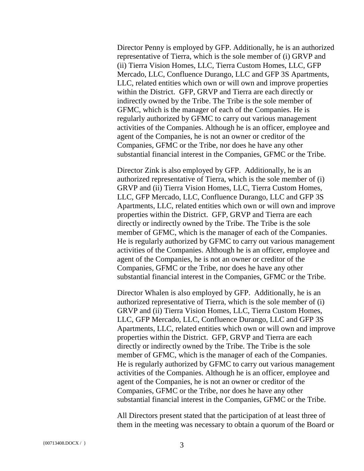Director Penny is employed by GFP. Additionally, he is an authorized representative of Tierra, which is the sole member of (i) GRVP and (ii) Tierra Vision Homes, LLC, Tierra Custom Homes, LLC, GFP Mercado, LLC, Confluence Durango, LLC and GFP 3S Apartments, LLC, related entities which own or will own and improve properties within the District. GFP, GRVP and Tierra are each directly or indirectly owned by the Tribe. The Tribe is the sole member of GFMC, which is the manager of each of the Companies. He is regularly authorized by GFMC to carry out various management activities of the Companies. Although he is an officer, employee and agent of the Companies, he is not an owner or creditor of the Companies, GFMC or the Tribe, nor does he have any other substantial financial interest in the Companies, GFMC or the Tribe.

Director Zink is also employed by GFP. Additionally, he is an authorized representative of Tierra, which is the sole member of (i) GRVP and (ii) Tierra Vision Homes, LLC, Tierra Custom Homes, LLC, GFP Mercado, LLC, Confluence Durango, LLC and GFP 3S Apartments, LLC, related entities which own or will own and improve properties within the District. GFP, GRVP and Tierra are each directly or indirectly owned by the Tribe. The Tribe is the sole member of GFMC, which is the manager of each of the Companies. He is regularly authorized by GFMC to carry out various management activities of the Companies. Although he is an officer, employee and agent of the Companies, he is not an owner or creditor of the Companies, GFMC or the Tribe, nor does he have any other substantial financial interest in the Companies, GFMC or the Tribe.

Director Whalen is also employed by GFP. Additionally, he is an authorized representative of Tierra, which is the sole member of (i) GRVP and (ii) Tierra Vision Homes, LLC, Tierra Custom Homes, LLC, GFP Mercado, LLC, Confluence Durango, LLC and GFP 3S Apartments, LLC, related entities which own or will own and improve properties within the District. GFP, GRVP and Tierra are each directly or indirectly owned by the Tribe. The Tribe is the sole member of GFMC, which is the manager of each of the Companies. He is regularly authorized by GFMC to carry out various management activities of the Companies. Although he is an officer, employee and agent of the Companies, he is not an owner or creditor of the Companies, GFMC or the Tribe, nor does he have any other substantial financial interest in the Companies, GFMC or the Tribe.

All Directors present stated that the participation of at least three of them in the meeting was necessary to obtain a quorum of the Board or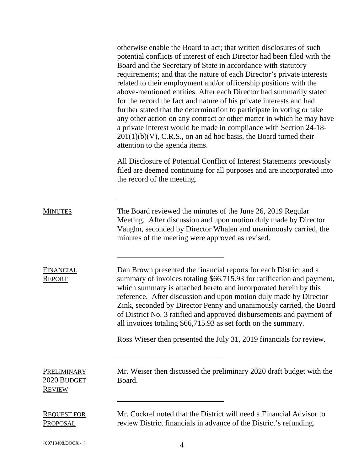|                                             | otherwise enable the Board to act; that written disclosures of such<br>potential conflicts of interest of each Director had been filed with the<br>Board and the Secretary of State in accordance with statutory<br>requirements; and that the nature of each Director's private interests<br>related to their employment and/or officership positions with the<br>above-mentioned entities. After each Director had summarily stated<br>for the record the fact and nature of his private interests and had<br>further stated that the determination to participate in voting or take<br>any other action on any contract or other matter in which he may have<br>a private interest would be made in compliance with Section 24-18-<br>$201(1)(b)(V)$ , C.R.S., on an ad hoc basis, the Board turned their<br>attention to the agenda items. |
|---------------------------------------------|------------------------------------------------------------------------------------------------------------------------------------------------------------------------------------------------------------------------------------------------------------------------------------------------------------------------------------------------------------------------------------------------------------------------------------------------------------------------------------------------------------------------------------------------------------------------------------------------------------------------------------------------------------------------------------------------------------------------------------------------------------------------------------------------------------------------------------------------|
|                                             | All Disclosure of Potential Conflict of Interest Statements previously<br>filed are deemed continuing for all purposes and are incorporated into<br>the record of the meeting.                                                                                                                                                                                                                                                                                                                                                                                                                                                                                                                                                                                                                                                                 |
| <b>MINUTES</b>                              | The Board reviewed the minutes of the June 26, 2019 Regular<br>Meeting. After discussion and upon motion duly made by Director<br>Vaughn, seconded by Director Whalen and unanimously carried, the<br>minutes of the meeting were approved as revised.                                                                                                                                                                                                                                                                                                                                                                                                                                                                                                                                                                                         |
| FINANCIAL<br><b>REPORT</b>                  | Dan Brown presented the financial reports for each District and a<br>summary of invoices totaling \$66,715.93 for ratification and payment,<br>which summary is attached hereto and incorporated herein by this<br>reference. After discussion and upon motion duly made by Director<br>Zink, seconded by Director Penny and unanimously carried, the Board<br>of District No. 3 ratified and approved disbursements and payment of<br>all invoices totaling \$66,715.93 as set forth on the summary.                                                                                                                                                                                                                                                                                                                                          |
|                                             | Ross Wieser then presented the July 31, 2019 financials for review.                                                                                                                                                                                                                                                                                                                                                                                                                                                                                                                                                                                                                                                                                                                                                                            |
| PRELIMINARY<br>2020 BUDGET<br><b>REVIEW</b> | Mr. Weiser then discussed the preliminary 2020 draft budget with the<br>Board.                                                                                                                                                                                                                                                                                                                                                                                                                                                                                                                                                                                                                                                                                                                                                                 |
| <b>REQUEST FOR</b><br><b>PROPOSAL</b>       | Mr. Cockrel noted that the District will need a Financial Advisor to<br>review District financials in advance of the District's refunding.                                                                                                                                                                                                                                                                                                                                                                                                                                                                                                                                                                                                                                                                                                     |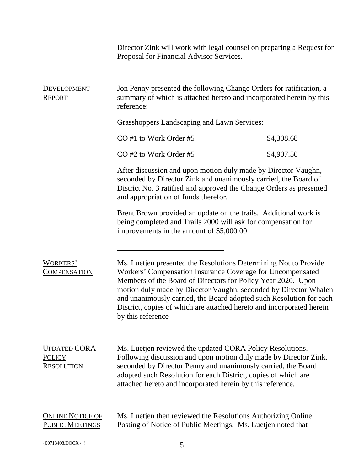Director Zink will work with legal counsel on preparing a Request for Proposal for Financial Advisor Services.

| <b>DEVELOPMENT</b><br><b>REPORT</b>                       | Jon Penny presented the following Change Orders for ratification, a<br>summary of which is attached hereto and incorporated herein by this<br>reference:                                                                                                                                                                                                                                                                                |            |  |
|-----------------------------------------------------------|-----------------------------------------------------------------------------------------------------------------------------------------------------------------------------------------------------------------------------------------------------------------------------------------------------------------------------------------------------------------------------------------------------------------------------------------|------------|--|
|                                                           | <b>Grasshoppers Landscaping and Lawn Services:</b>                                                                                                                                                                                                                                                                                                                                                                                      |            |  |
|                                                           | CO#1 to Work Order #5                                                                                                                                                                                                                                                                                                                                                                                                                   | \$4,308.68 |  |
|                                                           | CO#2 to Work Order #5                                                                                                                                                                                                                                                                                                                                                                                                                   | \$4,907.50 |  |
|                                                           | After discussion and upon motion duly made by Director Vaughn,<br>seconded by Director Zink and unanimously carried, the Board of<br>District No. 3 ratified and approved the Change Orders as presented<br>and appropriation of funds therefor.                                                                                                                                                                                        |            |  |
|                                                           | Brent Brown provided an update on the trails. Additional work is<br>being completed and Trails 2000 will ask for compensation for<br>improvements in the amount of \$5,000.00                                                                                                                                                                                                                                                           |            |  |
| WORKERS'<br><u>COMPENSATION</u>                           | Ms. Luetjen presented the Resolutions Determining Not to Provide<br>Workers' Compensation Insurance Coverage for Uncompensated<br>Members of the Board of Directors for Policy Year 2020. Upon<br>motion duly made by Director Vaughn, seconded by Director Whalen<br>and unanimously carried, the Board adopted such Resolution for each<br>District, copies of which are attached hereto and incorporated herein<br>by this reference |            |  |
| <b>UPDATED CORA</b><br><b>POLICY</b><br><b>RESOLUTION</b> | Ms. Luetjen reviewed the updated CORA Policy Resolutions.<br>Following discussion and upon motion duly made by Director Zink,<br>seconded by Director Penny and unanimously carried, the Board<br>adopted such Resolution for each District, copies of which are<br>attached hereto and incorporated herein by this reference.                                                                                                          |            |  |
| <b>ONLINE NOTICE OF</b><br><b>PUBLIC MEETINGS</b>         | Ms. Luetjen then reviewed the Resolutions Authorizing Online<br>Posting of Notice of Public Meetings. Ms. Luetjen noted that                                                                                                                                                                                                                                                                                                            |            |  |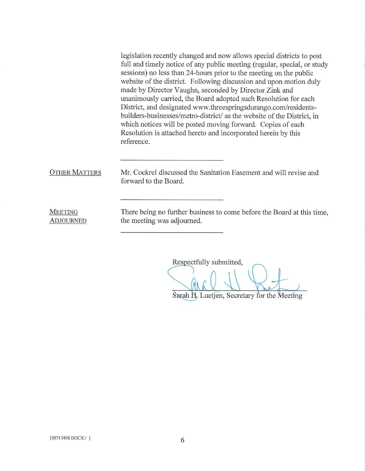legislation recently changed and now allows special districts to post full and timely notice of any public meeting (regular, special, or study sessions) no less than 24-hours prior to the meeting on the public website of the district. Following discussion and upon motion duly made by Director Vaughn, seconded by Director Zink and unanimously carried, the Board adopted such Resolution for each District, and designated www.threespringsdurango.com/residentsbuilders-businesses/metro-district/ as the website of the District, in which notices will be posted moving forward. Copies of each Resolution is attached hereto and incorporated herein by this reference.

**OTHER MATTERS** 

Mr. Cockrel discussed the Sanitation Easement and will revise and forward to the Board

**MEETING ADJOURNED**  There being no further business to come before the Board at this time, the meeting was adjourned.

Respectfully submitted,

Sarah H. Luetjen, Secretary for the Meeting